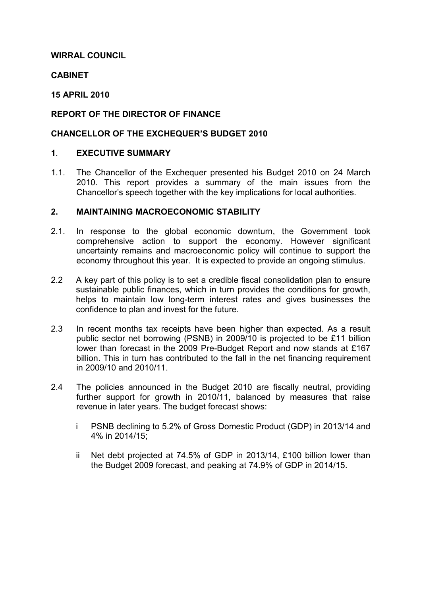### WIRRAL COUNCIL

### **CABINET**

## 15 APRIL 2010

# REPORT OF THE DIRECTOR OF FINANCE

### CHANCELLOR OF THE EXCHEQUER'S BUDGET 2010

# 1. EXECUTIVE SUMMARY

1.1. The Chancellor of the Exchequer presented his Budget 2010 on 24 March 2010. This report provides a summary of the main issues from the Chancellor's speech together with the key implications for local authorities.

#### 2. MAINTAINING MACROECONOMIC STABILITY

- 2.1. In response to the global economic downturn, the Government took comprehensive action to support the economy. However significant uncertainty remains and macroeconomic policy will continue to support the economy throughout this year. It is expected to provide an ongoing stimulus.
- 2.2 A key part of this policy is to set a credible fiscal consolidation plan to ensure sustainable public finances, which in turn provides the conditions for growth, helps to maintain low long-term interest rates and gives businesses the confidence to plan and invest for the future.
- 2.3 In recent months tax receipts have been higher than expected. As a result public sector net borrowing (PSNB) in 2009/10 is projected to be £11 billion lower than forecast in the 2009 Pre-Budget Report and now stands at £167 billion. This in turn has contributed to the fall in the net financing requirement in 2009/10 and 2010/11.
- 2.4 The policies announced in the Budget 2010 are fiscally neutral, providing further support for growth in 2010/11, balanced by measures that raise revenue in later years. The budget forecast shows:
	- i PSNB declining to 5.2% of Gross Domestic Product (GDP) in 2013/14 and 4% in 2014/15;
	- ii Net debt projected at 74.5% of GDP in 2013/14, £100 billion lower than the Budget 2009 forecast, and peaking at 74.9% of GDP in 2014/15.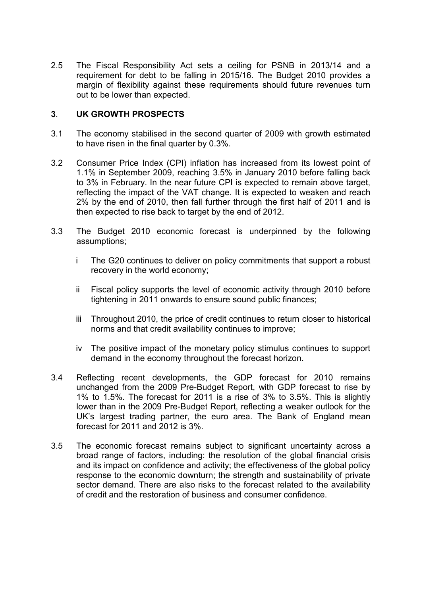2.5 The Fiscal Responsibility Act sets a ceiling for PSNB in 2013/14 and a requirement for debt to be falling in 2015/16. The Budget 2010 provides a margin of flexibility against these requirements should future revenues turn out to be lower than expected.

### 3. UK GROWTH PROSPECTS

- 3.1 The economy stabilised in the second quarter of 2009 with growth estimated to have risen in the final quarter by 0.3%.
- 3.2 Consumer Price Index (CPI) inflation has increased from its lowest point of 1.1% in September 2009, reaching 3.5% in January 2010 before falling back to 3% in February. In the near future CPI is expected to remain above target, reflecting the impact of the VAT change. It is expected to weaken and reach 2% by the end of 2010, then fall further through the first half of 2011 and is then expected to rise back to target by the end of 2012.
- 3.3 The Budget 2010 economic forecast is underpinned by the following assumptions;
	- i The G20 continues to deliver on policy commitments that support a robust recovery in the world economy;
	- ii Fiscal policy supports the level of economic activity through 2010 before tightening in 2011 onwards to ensure sound public finances;
	- iii Throughout 2010, the price of credit continues to return closer to historical norms and that credit availability continues to improve;
	- iv The positive impact of the monetary policy stimulus continues to support demand in the economy throughout the forecast horizon.
- 3.4 Reflecting recent developments, the GDP forecast for 2010 remains unchanged from the 2009 Pre-Budget Report, with GDP forecast to rise by 1% to 1.5%. The forecast for 2011 is a rise of 3% to 3.5%. This is slightly lower than in the 2009 Pre-Budget Report, reflecting a weaker outlook for the UK's largest trading partner, the euro area. The Bank of England mean forecast for 2011 and 2012 is 3%.
- 3.5 The economic forecast remains subject to significant uncertainty across a broad range of factors, including: the resolution of the global financial crisis and its impact on confidence and activity; the effectiveness of the global policy response to the economic downturn; the strength and sustainability of private sector demand. There are also risks to the forecast related to the availability of credit and the restoration of business and consumer confidence.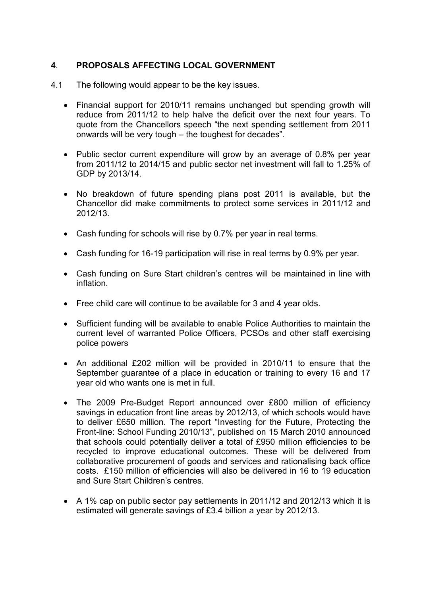# 4. PROPOSALS AFFECTING LOCAL GOVERNMENT

- 4.1 The following would appear to be the key issues.
	- Financial support for 2010/11 remains unchanged but spending growth will reduce from 2011/12 to help halve the deficit over the next four years. To quote from the Chancellors speech "the next spending settlement from 2011 onwards will be very tough – the toughest for decades".
	- Public sector current expenditure will grow by an average of 0.8% per year from 2011/12 to 2014/15 and public sector net investment will fall to 1.25% of GDP by 2013/14.
	- No breakdown of future spending plans post 2011 is available, but the Chancellor did make commitments to protect some services in 2011/12 and 2012/13.
	- Cash funding for schools will rise by 0.7% per year in real terms.
	- Cash funding for 16-19 participation will rise in real terms by 0.9% per year.
	- Cash funding on Sure Start children's centres will be maintained in line with inflation.
	- Free child care will continue to be available for 3 and 4 year olds.
	- Sufficient funding will be available to enable Police Authorities to maintain the current level of warranted Police Officers, PCSOs and other staff exercising police powers
	- An additional £202 million will be provided in 2010/11 to ensure that the September guarantee of a place in education or training to every 16 and 17 year old who wants one is met in full.
	- The 2009 Pre-Budget Report announced over £800 million of efficiency savings in education front line areas by 2012/13, of which schools would have to deliver £650 million. The report "Investing for the Future, Protecting the Front-line: School Funding 2010/13", published on 15 March 2010 announced that schools could potentially deliver a total of £950 million efficiencies to be recycled to improve educational outcomes. These will be delivered from collaborative procurement of goods and services and rationalising back office costs. £150 million of efficiencies will also be delivered in 16 to 19 education and Sure Start Children's centres.
	- A 1% cap on public sector pay settlements in 2011/12 and 2012/13 which it is estimated will generate savings of £3.4 billion a year by 2012/13.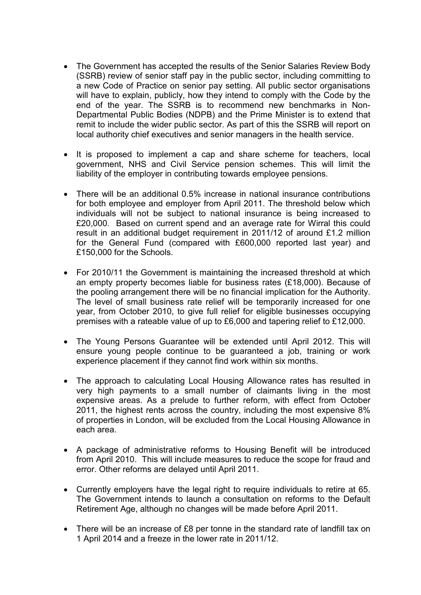- The Government has accepted the results of the Senior Salaries Review Body (SSRB) review of senior staff pay in the public sector, including committing to a new Code of Practice on senior pay setting. All public sector organisations will have to explain, publicly, how they intend to comply with the Code by the end of the year. The SSRB is to recommend new benchmarks in Non-Departmental Public Bodies (NDPB) and the Prime Minister is to extend that remit to include the wider public sector. As part of this the SSRB will report on local authority chief executives and senior managers in the health service.
- It is proposed to implement a cap and share scheme for teachers, local government, NHS and Civil Service pension schemes. This will limit the liability of the employer in contributing towards employee pensions.
- There will be an additional 0.5% increase in national insurance contributions for both employee and employer from April 2011. The threshold below which individuals will not be subject to national insurance is being increased to £20,000. Based on current spend and an average rate for Wirral this could result in an additional budget requirement in 2011/12 of around £1.2 million for the General Fund (compared with £600,000 reported last year) and £150,000 for the Schools.
- For 2010/11 the Government is maintaining the increased threshold at which an empty property becomes liable for business rates (£18,000). Because of the pooling arrangement there will be no financial implication for the Authority. The level of small business rate relief will be temporarily increased for one year, from October 2010, to give full relief for eligible businesses occupying premises with a rateable value of up to £6,000 and tapering relief to £12,000.
- The Young Persons Guarantee will be extended until April 2012. This will ensure young people continue to be guaranteed a job, training or work experience placement if they cannot find work within six months.
- The approach to calculating Local Housing Allowance rates has resulted in very high payments to a small number of claimants living in the most expensive areas. As a prelude to further reform, with effect from October 2011, the highest rents across the country, including the most expensive 8% of properties in London, will be excluded from the Local Housing Allowance in each area.
- A package of administrative reforms to Housing Benefit will be introduced from April 2010. This will include measures to reduce the scope for fraud and error. Other reforms are delayed until April 2011.
- Currently employers have the legal right to require individuals to retire at 65. The Government intends to launch a consultation on reforms to the Default Retirement Age, although no changes will be made before April 2011.
- There will be an increase of £8 per tonne in the standard rate of landfill tax on 1 April 2014 and a freeze in the lower rate in 2011/12.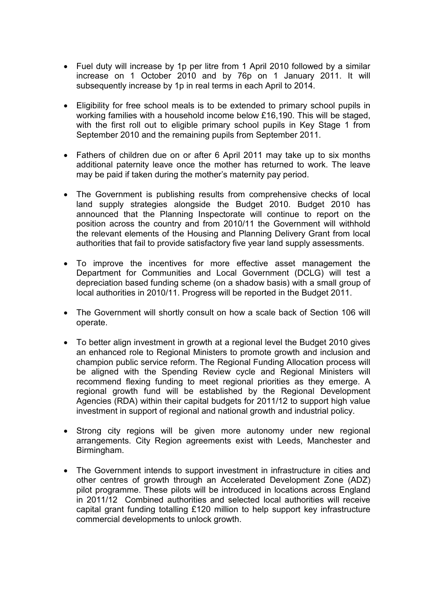- Fuel duty will increase by 1p per litre from 1 April 2010 followed by a similar increase on 1 October 2010 and by 76p on 1 January 2011. It will subsequently increase by 1p in real terms in each April to 2014.
- Eligibility for free school meals is to be extended to primary school pupils in working families with a household income below £16,190. This will be staged, with the first roll out to eligible primary school pupils in Key Stage 1 from September 2010 and the remaining pupils from September 2011.
- Fathers of children due on or after 6 April 2011 may take up to six months additional paternity leave once the mother has returned to work. The leave may be paid if taken during the mother's maternity pay period.
- The Government is publishing results from comprehensive checks of local land supply strategies alongside the Budget 2010. Budget 2010 has announced that the Planning Inspectorate will continue to report on the position across the country and from 2010/11 the Government will withhold the relevant elements of the Housing and Planning Delivery Grant from local authorities that fail to provide satisfactory five year land supply assessments.
- To improve the incentives for more effective asset management the Department for Communities and Local Government (DCLG) will test a depreciation based funding scheme (on a shadow basis) with a small group of local authorities in 2010/11. Progress will be reported in the Budget 2011.
- The Government will shortly consult on how a scale back of Section 106 will operate.
- To better align investment in growth at a regional level the Budget 2010 gives an enhanced role to Regional Ministers to promote growth and inclusion and champion public service reform. The Regional Funding Allocation process will be aligned with the Spending Review cycle and Regional Ministers will recommend flexing funding to meet regional priorities as they emerge. A regional growth fund will be established by the Regional Development Agencies (RDA) within their capital budgets for 2011/12 to support high value investment in support of regional and national growth and industrial policy.
- Strong city regions will be given more autonomy under new regional arrangements. City Region agreements exist with Leeds, Manchester and Birmingham.
- The Government intends to support investment in infrastructure in cities and other centres of growth through an Accelerated Development Zone (ADZ) pilot programme. These pilots will be introduced in locations across England in 2011/12 Combined authorities and selected local authorities will receive capital grant funding totalling £120 million to help support key infrastructure commercial developments to unlock growth.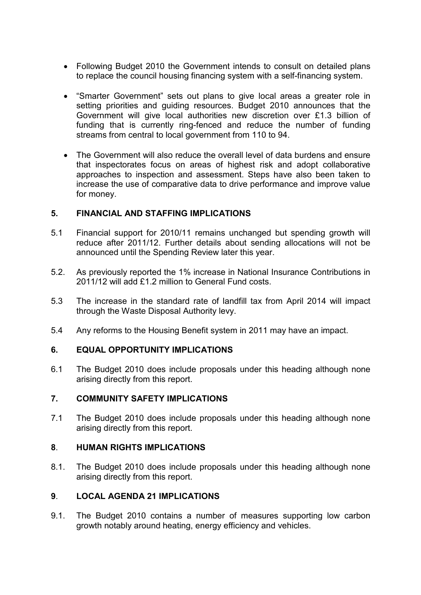- Following Budget 2010 the Government intends to consult on detailed plans to replace the council housing financing system with a self-financing system.
- "Smarter Government" sets out plans to give local areas a greater role in setting priorities and guiding resources. Budget 2010 announces that the Government will give local authorities new discretion over £1.3 billion of funding that is currently ring-fenced and reduce the number of funding streams from central to local government from 110 to 94.
- The Government will also reduce the overall level of data burdens and ensure that inspectorates focus on areas of highest risk and adopt collaborative approaches to inspection and assessment. Steps have also been taken to increase the use of comparative data to drive performance and improve value for money.

## 5. FINANCIAL AND STAFFING IMPLICATIONS

- 5.1 Financial support for 2010/11 remains unchanged but spending growth will reduce after 2011/12. Further details about sending allocations will not be announced until the Spending Review later this year.
- 5.2. As previously reported the 1% increase in National Insurance Contributions in 2011/12 will add £1.2 million to General Fund costs.
- 5.3 The increase in the standard rate of landfill tax from April 2014 will impact through the Waste Disposal Authority levy.
- 5.4 Any reforms to the Housing Benefit system in 2011 may have an impact.

# 6. EQUAL OPPORTUNITY IMPLICATIONS

6.1 The Budget 2010 does include proposals under this heading although none arising directly from this report.

#### 7. COMMUNITY SAFETY IMPLICATIONS

7.1 The Budget 2010 does include proposals under this heading although none arising directly from this report.

#### 8. HUMAN RIGHTS IMPLICATIONS

8.1. The Budget 2010 does include proposals under this heading although none arising directly from this report.

#### 9. LOCAL AGENDA 21 IMPLICATIONS

9.1. The Budget 2010 contains a number of measures supporting low carbon growth notably around heating, energy efficiency and vehicles.